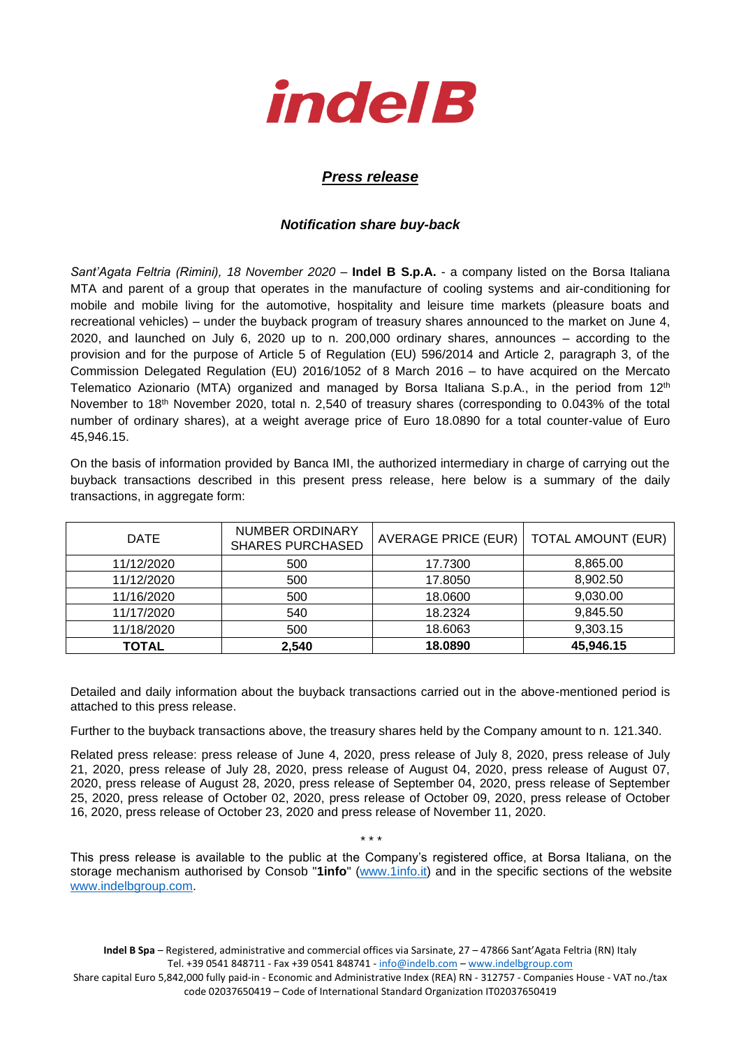

## *Press release*

## *Notification share buy-back*

*Sant'Agata Feltria (Rimini), 18 November 2020* – **Indel B S.p.A.** - a company listed on the Borsa Italiana MTA and parent of a group that operates in the manufacture of cooling systems and air-conditioning for mobile and mobile living for the automotive, hospitality and leisure time markets (pleasure boats and recreational vehicles) – under the buyback program of treasury shares announced to the market on June 4, 2020, and launched on July 6, 2020 up to n. 200,000 ordinary shares, announces – according to the provision and for the purpose of Article 5 of Regulation (EU) 596/2014 and Article 2, paragraph 3, of the Commission Delegated Regulation (EU) 2016/1052 of 8 March 2016 – to have acquired on the Mercato Telematico Azionario (MTA) organized and managed by Borsa Italiana S.p.A., in the period from 12<sup>th</sup> November to 18<sup>th</sup> November 2020, total n. 2,540 of treasury shares (corresponding to 0.043% of the total number of ordinary shares), at a weight average price of Euro 18.0890 for a total counter-value of Euro 45,946.15.

On the basis of information provided by Banca IMI, the authorized intermediary in charge of carrying out the buyback transactions described in this present press release, here below is a summary of the daily transactions, in aggregate form:

| <b>DATE</b>  | NUMBER ORDINARY<br><b>SHARES PURCHASED</b> | AVERAGE PRICE (EUR) | <b>TOTAL AMOUNT (EUR)</b> |  |
|--------------|--------------------------------------------|---------------------|---------------------------|--|
| 11/12/2020   | 500                                        | 17.7300             | 8,865.00                  |  |
| 11/12/2020   | 500                                        | 17.8050             | 8,902.50                  |  |
| 11/16/2020   | 500                                        | 18.0600             | 9,030.00                  |  |
| 11/17/2020   | 540                                        | 18.2324             | 9,845.50                  |  |
| 11/18/2020   | 500                                        | 18.6063             | 9,303.15                  |  |
| <b>TOTAL</b> | 2,540                                      | 18.0890             | 45,946.15                 |  |

Detailed and daily information about the buyback transactions carried out in the above-mentioned period is attached to this press release.

Further to the buyback transactions above, the treasury shares held by the Company amount to n. 121.340.

Related press release: press release of June 4, 2020, press release of July 8, 2020, press release of July 21, 2020, press release of July 28, 2020, press release of August 04, 2020, press release of August 07, 2020, press release of August 28, 2020, press release of September 04, 2020, press release of September 25, 2020, press release of October 02, 2020, press release of October 09, 2020, press release of October 16, 2020, press release of October 23, 2020 and press release of November 11, 2020.

This press release is available to the public at the Company's registered office, at Borsa Italiana, on the storage mechanism authorised by Consob "**1info**" [\(www.1info.it\)](file:///C:/Users/ddelietovollaro/AppData/Local/Microsoft/Windows/INetCache/Content.Outlook/T87B94UR/www.1info.it) and in the specific sections of the website [www.indelbgroup.com.](http://www.indelbgroup.com/)

\* \* \*

**Indel B Spa** – Registered, administrative and commercial offices via Sarsinate, 27 – 47866 Sant'Agata Feltria (RN) Italy Tel. +39 0541 848711 - Fax +39 0541 848741 - [info@indelb.com](mailto:info@indelb.com) – [www.indelbgroup.com](http://www.indelbgroup.com/)

Share capital Euro 5,842,000 fully paid-in - Economic and Administrative Index (REA) RN - 312757 - Companies House - VAT no./tax code 02037650419 – Code of International Standard Organization IT02037650419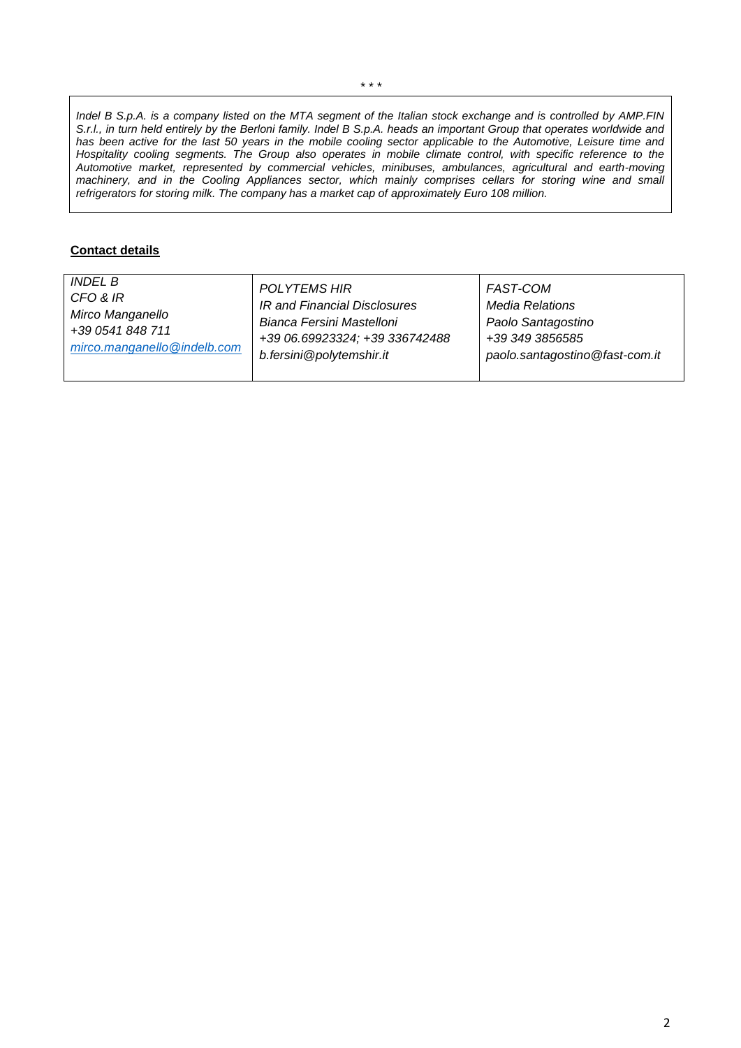*Indel B S.p.A. is a company listed on the MTA segment of the Italian stock exchange and is controlled by AMP.FIN S.r.l., in turn held entirely by the Berloni family. Indel B S.p.A. heads an important Group that operates worldwide and has been active for the last 50 years in the mobile cooling sector applicable to the Automotive, Leisure time and Hospitality cooling segments. The Group also operates in mobile climate control, with specific reference to the Automotive market, represented by commercial vehicles, minibuses, ambulances, agricultural and earth-moving machinery, and in the Cooling Appliances sector, which mainly comprises cellars for storing wine and small refrigerators for storing milk. The company has a market cap of approximately Euro 108 million.*

## **Contact details**

| <i>INDEL B</i>              | <b>POLYTEMS HIR</b>            | <b>FAST-COM</b>                |
|-----------------------------|--------------------------------|--------------------------------|
| CFO & IR                    | IR and Financial Disclosures   | <b>Media Relations</b>         |
| Mirco Manganello            | Bianca Fersini Mastelloni      | Paolo Santagostino             |
| +39 0541 848 711            | +39 06.69923324; +39 336742488 | +39 349 3856585                |
| mirco.manganello@indelb.com | b.fersini@polytemshir.it       | paolo.santagostino@fast-com.it |